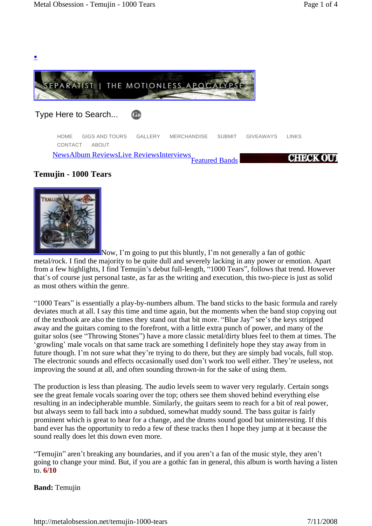

# **Temujin - 1000 Tears**

**.**



Now, I'm going to put this bluntly, I'm not generally a fan of gothic metal/rock. I find the majority to be quite dull and severely lacking in any power or emotion. Apart from a few highlights, I find Temujin's debut full-length, "1000 Tears", follows that trend. However that's of course just personal taste, as far as the writing and execution, this two-piece is just as solid as most others within the genre.

ì1000 Tearsî is essentially a play-by-numbers album. The band sticks to the basic formula and rarely deviates much at all. I say this time and time again, but the moments when the band stop copying out of the textbook are also the times they stand out that bit more. "Blue Jay" see's the keys stripped away and the guitars coming to the forefront, with a little extra punch of power, and many of the guitar solos (see "Throwing Stones") have a more classic metal/dirty blues feel to them at times. The 'growling' male vocals on that same track are something I definitely hope they stay away from in future though. I'm not sure what they're trying to do there, but they are simply bad vocals, full stop. The electronic sounds and effects occasionally used don't work too well either. They're useless, not improving the sound at all, and often sounding thrown-in for the sake of using them.

The production is less than pleasing. The audio levels seem to waver very regularly. Certain songs see the great female vocals soaring over the top; others see them shoved behind everything else resulting in an indecipherable mumble. Similarly, the guitars seem to reach for a bit of real power, but always seem to fall back into a subdued, somewhat muddy sound. The bass guitar is fairly prominent which is great to hear for a change, and the drums sound good but uninteresting. If this band ever has the opportunity to redo a few of these tracks then I hope they jump at it because the sound really does let this down even more.

ìTemujinî arenít breaking any boundaries, and if you arenít a fan of the music style, they arenít going to change your mind. But, if you are a gothic fan in general, this album is worth having a listen to. **6/10**

## **Band:** Temujin